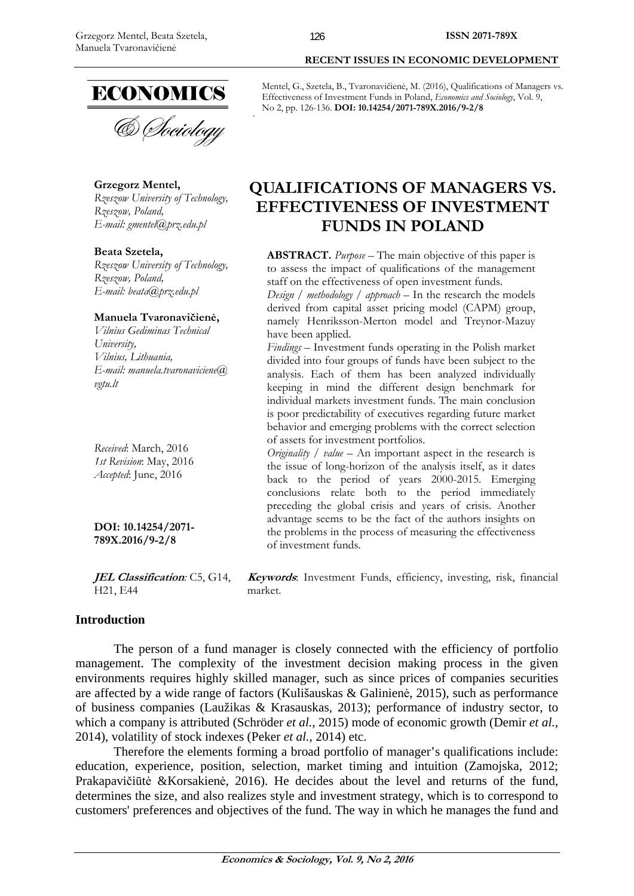

**Grzegorz Mentel,**  *Rzeszow University of Technology, Rzeszow, Poland, E-mail: gmentel@prz.edu.pl* 

### **Beata Szetela,**

*Rzeszow University of Technology, Rzeszow, Poland, E-mail: beata@prz.edu.pl* 

#### **Manuela Tvaronavičienė,**

*Vilnius Gediminas Technical University, Vilnius, Lithuania, E-mail: manuela.tvaronaviciene@ vgtu.lt* 

*Received*: March, 2016 *1st Revision*: May, 2016 *Accepted*: June, 2016

**DOI: 10.14254/2071- 789X.2016/9-2/8**

**JEL Classification***:* C5, G14, H21, E44

### **Introduction**

The person of a fund manager is closely connected with the efficiency of portfolio management. The complexity of the investment decision making process in the given environments requires highly skilled manager, such as since prices of companies securities are affected by a wide range of factors (Kulišauskas & Galinienė, 2015), such as performance of business companies (Laužikas & Krasauskas, 2013); performance of industry sector, to which a company is attributed (Schröder *et al.*, 2015) mode of economic growth (Demir *et al.*, 2014), volatility of stock indexes (Peker *et al.*, 2014) etc.

Therefore the elements forming a broad portfolio of manager's qualifications include: education, experience, position, selection, market timing and intuition (Zamojska, 2012; Prakapavičiūtė &Korsakienė, 2016). He decides about the level and returns of the fund, determines the size, and also realizes style and investment strategy, which is to correspond to customers' preferences and objectives of the fund. The way in which he manages the fund and

Mentel, G., Szetela, B., Tvaronavičienė, M. (2016), Qualifications of Managers vs. Effectiveness of Investment Funds in Poland, *Economics and Sociology*, Vol. 9, No 2, pp. 126-136. **DOI: 10.14254/2071-789X.2016/9-2/8** 

 **RECENT ISSUES IN ECONOMIC DEVELOPMENT** 

# **QUALIFICATIONS OF MANAGERS VS. EFFECTIVENESS OF INVESTMENT FUNDS IN POLAND**

**ABSTRACT.** *Purpose* – The main objective of this paper is to assess the impact of qualifications of the management staff on the effectiveness of open investment funds.

*Design / methodology / approach* – In the research the models derived from capital asset pricing model (CAPM) group, namely Henriksson-Merton model and Treynor-Mazuy have been applied.

*Findings* – Investment funds operating in the Polish market divided into four groups of funds have been subject to the analysis. Each of them has been analyzed individually keeping in mind the different design benchmark for individual markets investment funds. The main conclusion is poor predictability of executives regarding future market behavior and emerging problems with the correct selection of assets for investment portfolios.

*Originality / value* – An important aspect in the research is the issue of long-horizon of the analysis itself, as it dates back to the period of years 2000-2015. Emerging conclusions relate both to the period immediately preceding the global crisis and years of crisis. Another advantage seems to be the fact of the authors insights on the problems in the process of measuring the effectiveness of investment funds.

**Keywords**: Investment Funds, efficiency, investing, risk, financial market.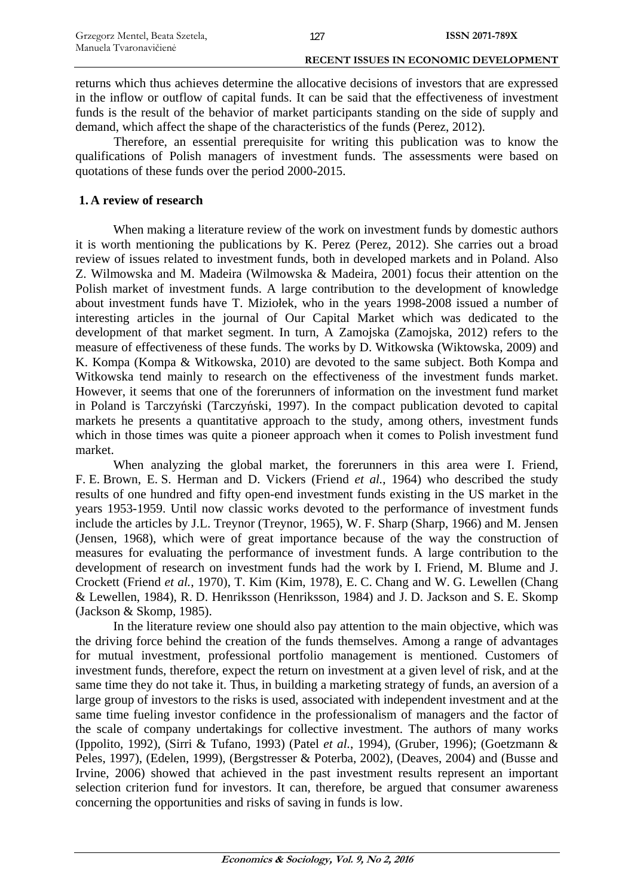returns which thus achieves determine the allocative decisions of investors that are expressed in the inflow or outflow of capital funds. It can be said that the effectiveness of investment funds is the result of the behavior of market participants standing on the side of supply and demand, which affect the shape of the characteristics of the funds (Perez, 2012).

Therefore, an essential prerequisite for writing this publication was to know the qualifications of Polish managers of investment funds. The assessments were based on quotations of these funds over the period 2000-2015.

# **1. A review of research**

When making a literature review of the work on investment funds by domestic authors it is worth mentioning the publications by K. Perez (Perez, 2012). She carries out a broad review of issues related to investment funds, both in developed markets and in Poland. Also Z. Wilmowska and M. Madeira (Wilmowska & Madeira, 2001) focus their attention on the Polish market of investment funds. A large contribution to the development of knowledge about investment funds have T. Miziołek, who in the years 1998-2008 issued a number of interesting articles in the journal of Our Capital Market which was dedicated to the development of that market segment. In turn, A Zamojska (Zamojska, 2012) refers to the measure of effectiveness of these funds. The works by D. Witkowska (Wiktowska, 2009) and K. Kompa (Kompa & Witkowska, 2010) are devoted to the same subject. Both Kompa and Witkowska tend mainly to research on the effectiveness of the investment funds market. However, it seems that one of the forerunners of information on the investment fund market in Poland is Tarczyński (Tarczyński, 1997). In the compact publication devoted to capital markets he presents a quantitative approach to the study, among others, investment funds which in those times was quite a pioneer approach when it comes to Polish investment fund market.

When analyzing the global market, the forerunners in this area were I. Friend, F. E. Brown, E. S. Herman and D. Vickers (Friend *et al.*, 1964) who described the study results of one hundred and fifty open-end investment funds existing in the US market in the years 1953-1959. Until now classic works devoted to the performance of investment funds include the articles by J.L. Treynor (Treynor, 1965), W. F. Sharp (Sharp, 1966) and M. Jensen (Jensen, 1968), which were of great importance because of the way the construction of measures for evaluating the performance of investment funds. A large contribution to the development of research on investment funds had the work by I. Friend, M. Blume and J. Crockett (Friend *et al.*, 1970), T. Kim (Kim, 1978), E. C. Chang and W. G. Lewellen (Chang & Lewellen, 1984), R. D. Henriksson (Henriksson, 1984) and J. D. Jackson and S. E. Skomp (Jackson & Skomp, 1985).

In the literature review one should also pay attention to the main objective, which was the driving force behind the creation of the funds themselves. Among a range of advantages for mutual investment, professional portfolio management is mentioned. Customers of investment funds, therefore, expect the return on investment at a given level of risk, and at the same time they do not take it. Thus, in building a marketing strategy of funds, an aversion of a large group of investors to the risks is used, associated with independent investment and at the same time fueling investor confidence in the professionalism of managers and the factor of the scale of company undertakings for collective investment. The authors of many works (Ippolito, 1992), (Sirri & Tufano, 1993) (Patel *et al.*, 1994), (Gruber, 1996); (Goetzmann & Peles, 1997), (Edelen, 1999), (Bergstresser & Poterba, 2002), (Deaves, 2004) and (Busse and Irvine, 2006) showed that achieved in the past investment results represent an important selection criterion fund for investors. It can, therefore, be argued that consumer awareness concerning the opportunities and risks of saving in funds is low.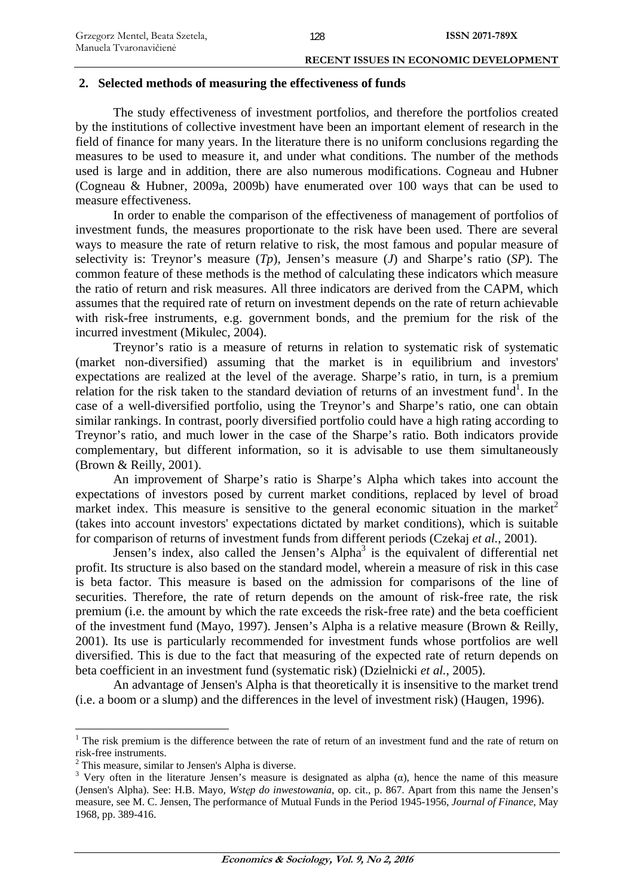### **2. Selected methods of measuring the effectiveness of funds**

The study effectiveness of investment portfolios, and therefore the portfolios created by the institutions of collective investment have been an important element of research in the field of finance for many years. In the literature there is no uniform conclusions regarding the measures to be used to measure it, and under what conditions. The number of the methods used is large and in addition, there are also numerous modifications. Cogneau and Hubner (Cogneau & Hubner, 2009a, 2009b) have enumerated over 100 ways that can be used to measure effectiveness.

In order to enable the comparison of the effectiveness of management of portfolios of investment funds, the measures proportionate to the risk have been used. There are several ways to measure the rate of return relative to risk, the most famous and popular measure of selectivity is: Treynor's measure (*Tp*), Jensen's measure (*J*) and Sharpe's ratio (*SP*). The common feature of these methods is the method of calculating these indicators which measure the ratio of return and risk measures. All three indicators are derived from the CAPM, which assumes that the required rate of return on investment depends on the rate of return achievable with risk-free instruments, e.g. government bonds, and the premium for the risk of the incurred investment (Mikulec, 2004).

Treynor's ratio is a measure of returns in relation to systematic risk of systematic (market non-diversified) assuming that the market is in equilibrium and investors' expectations are realized at the level of the average. Sharpe's ratio, in turn, is a premium relation for the risk taken to the standard deviation of returns of an investment fund<sup>1</sup>. In the case of a well-diversified portfolio, using the Treynor's and Sharpe's ratio, one can obtain similar rankings. In contrast, poorly diversified portfolio could have a high rating according to Treynor's ratio, and much lower in the case of the Sharpe's ratio. Both indicators provide complementary, but different information, so it is advisable to use them simultaneously (Brown & Reilly, 2001).

An improvement of Sharpe's ratio is Sharpe's Alpha which takes into account the expectations of investors posed by current market conditions, replaced by level of broad market index. This measure is sensitive to the general economic situation in the market<sup>2</sup> (takes into account investors' expectations dictated by market conditions), which is suitable for comparison of returns of investment funds from different periods (Czekaj *et al.*, 2001).

Jensen's index, also called the Jensen's Alpha<sup>3</sup> is the equivalent of differential net profit. Its structure is also based on the standard model, wherein a measure of risk in this case is beta factor. This measure is based on the admission for comparisons of the line of securities. Therefore, the rate of return depends on the amount of risk-free rate, the risk premium (i.e. the amount by which the rate exceeds the risk-free rate) and the beta coefficient of the investment fund (Mayo, 1997). Jensen's Alpha is a relative measure (Brown & Reilly, 2001). Its use is particularly recommended for investment funds whose portfolios are well diversified. This is due to the fact that measuring of the expected rate of return depends on beta coefficient in an investment fund (systematic risk) (Dzielnicki *et al.*, 2005).

An advantage of Jensen's Alpha is that theoretically it is insensitive to the market trend (i.e. a boom or a slump) and the differences in the level of investment risk) (Haugen, 1996).

1

<sup>&</sup>lt;sup>1</sup> The risk premium is the difference between the rate of return of an investment fund and the rate of return on risk-free instruments.

<sup>2</sup> This measure, similar to Jensen's Alpha is diverse.

<sup>&</sup>lt;sup>3</sup> Very often in the literature Jensen's measure is designated as alpha  $(\alpha)$ , hence the name of this measure (Jensen's Alpha). See: H.B. Mayo*, Wstęp do inwestowania*, op. cit., p. 867. Apart from this name the Jensen's measure, see M. C. Jensen, The performance of Mutual Funds in the Period 1945-1956, *Journal of Finance*, May 1968, pp. 389-416.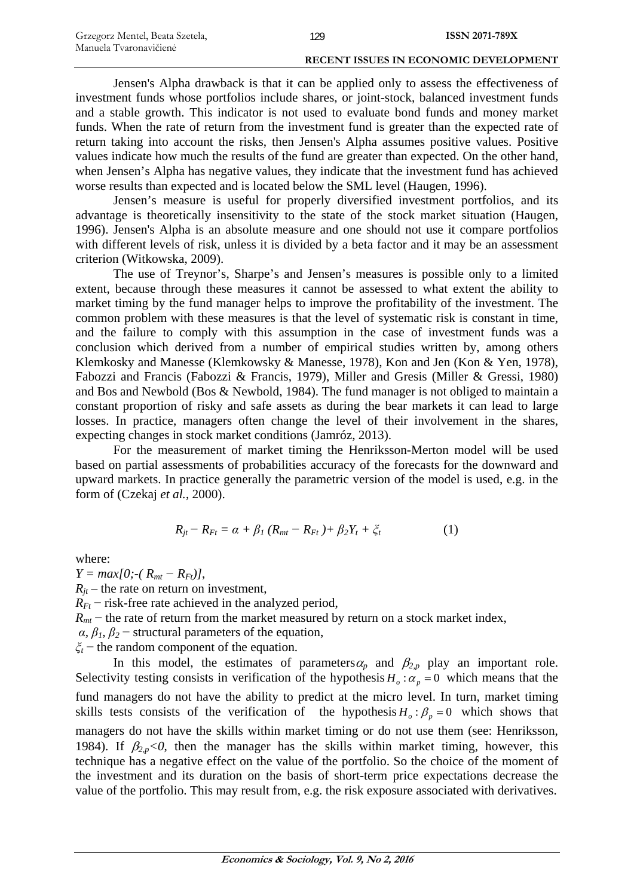Jensen's Alpha drawback is that it can be applied only to assess the effectiveness of investment funds whose portfolios include shares, or joint-stock, balanced investment funds and a stable growth. This indicator is not used to evaluate bond funds and money market funds. When the rate of return from the investment fund is greater than the expected rate of return taking into account the risks, then Jensen's Alpha assumes positive values. Positive values indicate how much the results of the fund are greater than expected. On the other hand, when Jensen's Alpha has negative values, they indicate that the investment fund has achieved worse results than expected and is located below the SML level (Haugen, 1996).

Jensen's measure is useful for properly diversified investment portfolios, and its advantage is theoretically insensitivity to the state of the stock market situation (Haugen, 1996). Jensen's Alpha is an absolute measure and one should not use it compare portfolios with different levels of risk, unless it is divided by a beta factor and it may be an assessment criterion (Witkowska, 2009).

The use of Treynor's, Sharpe's and Jensen's measures is possible only to a limited extent, because through these measures it cannot be assessed to what extent the ability to market timing by the fund manager helps to improve the profitability of the investment. The common problem with these measures is that the level of systematic risk is constant in time, and the failure to comply with this assumption in the case of investment funds was a conclusion which derived from a number of empirical studies written by, among others Klemkosky and Manesse (Klemkowsky & Manesse, 1978), Kon and Jen (Kon & Yen, 1978), Fabozzi and Francis (Fabozzi & Francis, 1979), Miller and Gresis (Miller & Gressi, 1980) and Bos and Newbold (Bos & Newbold, 1984). The fund manager is not obliged to maintain a constant proportion of risky and safe assets as during the bear markets it can lead to large losses. In practice, managers often change the level of their involvement in the shares, expecting changes in stock market conditions (Jamróz, 2013).

For the measurement of market timing the Henriksson-Merton model will be used based on partial assessments of probabilities accuracy of the forecasts for the downward and upward markets. In practice generally the parametric version of the model is used, e.g. in the form of (Czekaj *et al.*, 2000).

$$
R_{jt} - R_{Ft} = \alpha + \beta_1 (R_{mt} - R_{Ft}) + \beta_2 Y_t + \xi_t
$$
 (1)

where:

 $Y = max[0; -(R_{mt} - R_{Ft})],$  $R_{it}$  – the rate on return on investment,  $R_{Ft}$  – risk-free rate achieved in the analyzed period,  $R_{mt}$  – the rate of return from the market measured by return on a stock market index, *α*,  $β$ <sub>*l*</sub>,  $β$ <sub>2</sub> − structural parameters of the equation, *ξ<sup>t</sup>* − the random component of the equation. In this model, the estimates of parameters  $\alpha_p$  and  $\beta_{2,p}$  play an important role.

Selectivity testing consists in verification of the hypothesis  $H_o: \alpha_p = 0$  which means that the fund managers do not have the ability to predict at the micro level. In turn, market timing skills tests consists of the verification of the hypothesis  $H_o: \beta_p = 0$  which shows that managers do not have the skills within market timing or do not use them (see: Henriksson, 1984). If  $\beta_{2,p}$ <0, then the manager has the skills within market timing, however, this technique has a negative effect on the value of the portfolio. So the choice of the moment of the investment and its duration on the basis of short-term price expectations decrease the value of the portfolio. This may result from, e.g. the risk exposure associated with derivatives.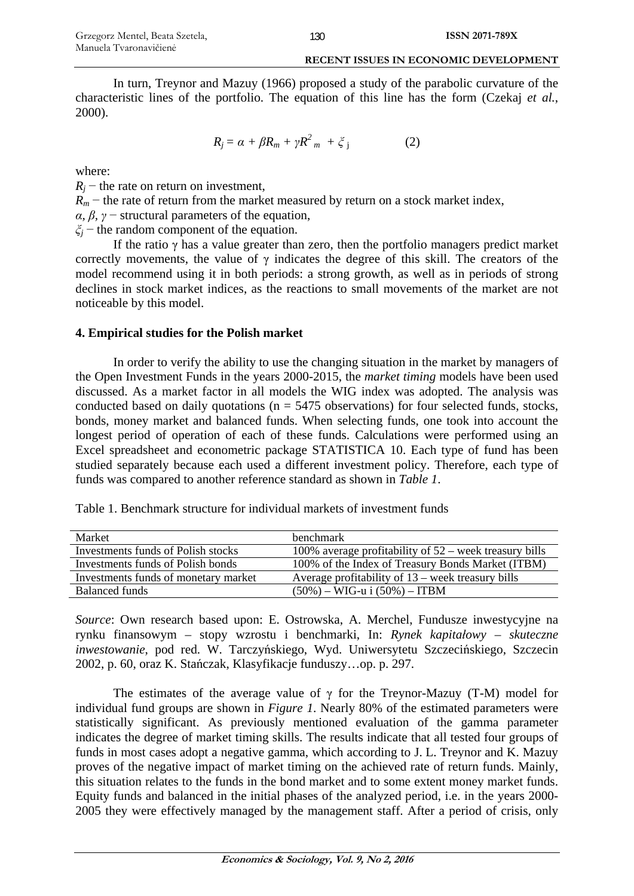In turn, Treynor and Mazuy (1966) proposed a study of the parabolic curvature of the characteristic lines of the portfolio. The equation of this line has the form (Czekaj *et al.*, 2000).

$$
R_j = \alpha + \beta R_m + \gamma R^2_m + \xi_j \tag{2}
$$

where:

 $R_i$  – the rate on return on investment,

 $R_m$  – the rate of return from the market measured by return on a stock market index,

*α*,  $β$ ,  $γ$  – structural parameters of the equation,

*ξ<sup>j</sup>* − the random component of the equation.

If the ratio γ has a value greater than zero, then the portfolio managers predict market correctly movements, the value of  $\gamma$  indicates the degree of this skill. The creators of the model recommend using it in both periods: a strong growth, as well as in periods of strong declines in stock market indices, as the reactions to small movements of the market are not noticeable by this model.

# **4. Empirical studies for the Polish market**

In order to verify the ability to use the changing situation in the market by managers of the Open Investment Funds in the years 2000-2015, the *market timing* models have been used discussed. As a market factor in all models the WIG index was adopted. The analysis was conducted based on daily quotations ( $n = 5475$  observations) for four selected funds, stocks, bonds, money market and balanced funds. When selecting funds, one took into account the longest period of operation of each of these funds. Calculations were performed using an Excel spreadsheet and econometric package STATISTICA 10. Each type of fund has been studied separately because each used a different investment policy. Therefore, each type of funds was compared to another reference standard as shown in *Table 1*.

| Market                               | <b>benchmark</b>                                         |
|--------------------------------------|----------------------------------------------------------|
| Investments funds of Polish stocks   | 100% average profitability of $52$ – week treasury bills |
| Investments funds of Polish bonds    | 100% of the Index of Treasury Bonds Market (ITBM)        |
| Investments funds of monetary market | Average profitability of $13$ – week treasury bills      |
| Balanced funds                       | $(50\%) - WIG-u$ i $(50\%) - ITBM$                       |

Table 1. Benchmark structure for individual markets of investment funds

*Source*: Own research based upon: E. Ostrowska, A. Merchel, Fundusze inwestycyjne na rynku finansowym – stopy wzrostu i benchmarki, In: *Rynek kapitałowy – skuteczne inwestowanie*, pod red. W. Tarczyńskiego, Wyd. Uniwersytetu Szczecińskiego, Szczecin 2002, p. 60, oraz K. Stańczak, Klasyfikacje funduszy…op. p. 297.

The estimates of the average value of  $\gamma$  for the Treynor-Mazuy (T-M) model for individual fund groups are shown in *Figure 1*. Nearly 80% of the estimated parameters were statistically significant. As previously mentioned evaluation of the gamma parameter indicates the degree of market timing skills. The results indicate that all tested four groups of funds in most cases adopt a negative gamma, which according to J. L. Treynor and K. Mazuy proves of the negative impact of market timing on the achieved rate of return funds. Mainly, this situation relates to the funds in the bond market and to some extent money market funds. Equity funds and balanced in the initial phases of the analyzed period, i.e. in the years 2000- 2005 they were effectively managed by the management staff. After a period of crisis, only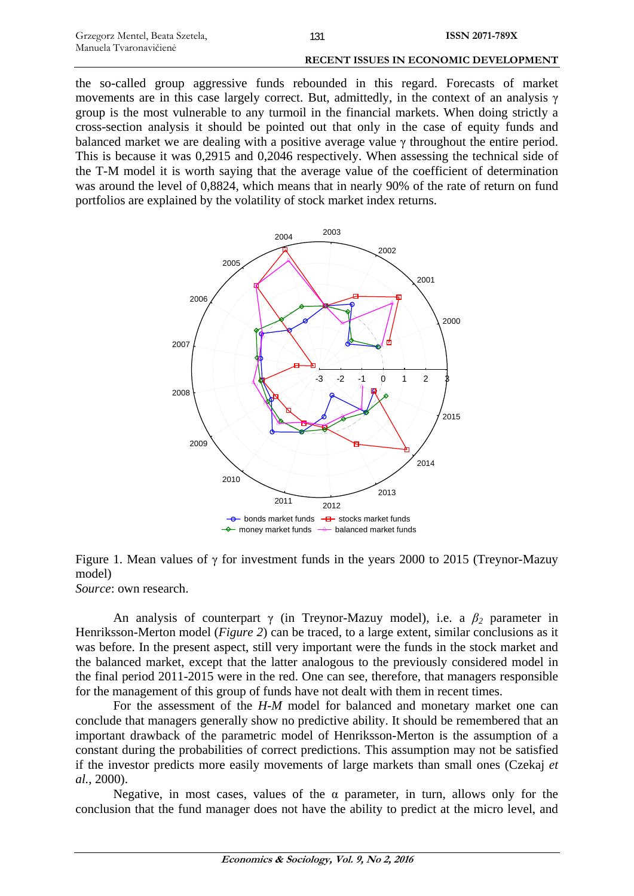the so-called group aggressive funds rebounded in this regard. Forecasts of market movements are in this case largely correct. But, admittedly, in the context of an analysis  $\gamma$ group is the most vulnerable to any turmoil in the financial markets. When doing strictly a cross-section analysis it should be pointed out that only in the case of equity funds and balanced market we are dealing with a positive average value  $\gamma$  throughout the entire period. This is because it was 0,2915 and 0,2046 respectively. When assessing the technical side of the T-M model it is worth saying that the average value of the coefficient of determination was around the level of 0,8824, which means that in nearly 90% of the rate of return on fund portfolios are explained by the volatility of stock market index returns.



# Figure 1. Mean values of γ for investment funds in the years 2000 to 2015 (Treynor-Mazuy model)

*Source*: own research.

An analysis of counterpart γ (in Treynor-Mazuy model), i.e. a *β2* parameter in Henriksson-Merton model (*Figure 2*) can be traced, to a large extent, similar conclusions as it was before. In the present aspect, still very important were the funds in the stock market and the balanced market, except that the latter analogous to the previously considered model in the final period 2011-2015 were in the red. One can see, therefore, that managers responsible for the management of this group of funds have not dealt with them in recent times.

For the assessment of the *H-M* model for balanced and monetary market one can conclude that managers generally show no predictive ability. It should be remembered that an important drawback of the parametric model of Henriksson-Merton is the assumption of a constant during the probabilities of correct predictions. This assumption may not be satisfied if the investor predicts more easily movements of large markets than small ones (Czekaj *et al.*, 2000).

Negative, in most cases, values of the  $\alpha$  parameter, in turn, allows only for the conclusion that the fund manager does not have the ability to predict at the micro level, and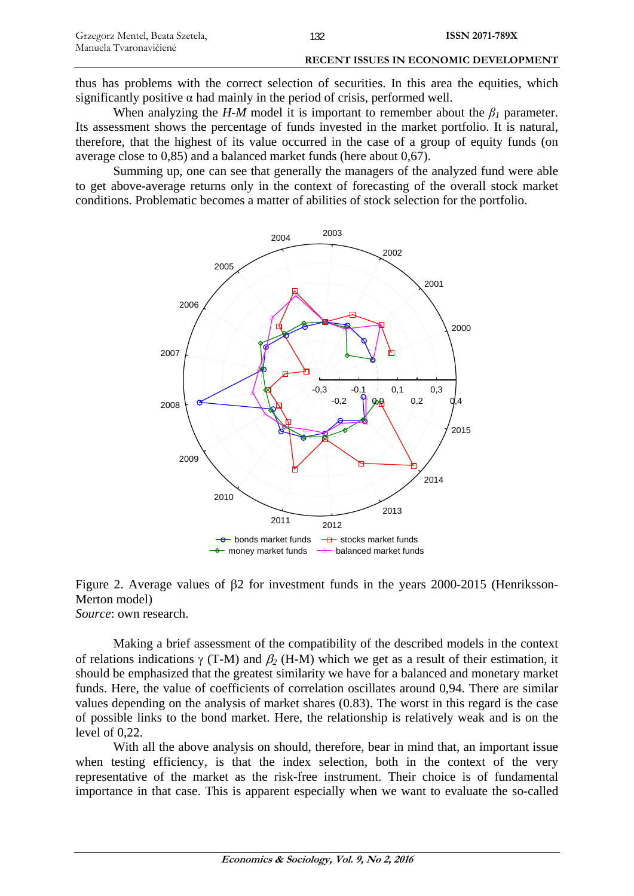When analyzing the *H-M* model it is important to remember about the  $\beta_l$  parameter. Its assessment shows the percentage of funds invested in the market portfolio. It is natural, therefore, that the highest of its value occurred in the case of a group of equity funds (on average close to 0,85) and a balanced market funds (here about 0,67).

Summing up, one can see that generally the managers of the analyzed fund were able to get above-average returns only in the context of forecasting of the overall stock market conditions. Problematic becomes a matter of abilities of stock selection for the portfolio.



## Figure 2. Average values of β2 for investment funds in the years 2000-2015 (Henriksson-Merton model) *Source*: own research.

Making a brief assessment of the compatibility of the described models in the context of relations indications γ (T-M) and β*2* (H-M) which we get as a result of their estimation, it should be emphasized that the greatest similarity we have for a balanced and monetary market funds. Here, the value of coefficients of correlation oscillates around 0,94. There are similar values depending on the analysis of market shares (0.83). The worst in this regard is the case of possible links to the bond market. Here, the relationship is relatively weak and is on the level of 0,22.

With all the above analysis on should, therefore, bear in mind that, an important issue when testing efficiency, is that the index selection, both in the context of the very representative of the market as the risk-free instrument. Their choice is of fundamental importance in that case. This is apparent especially when we want to evaluate the so-called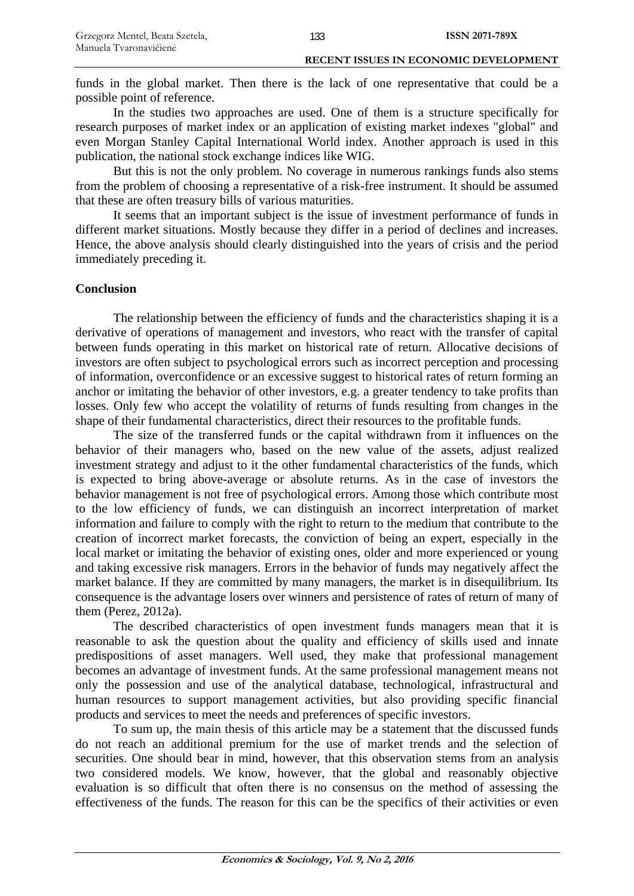funds in the global market. Then there is the lack of one representative that could be a possible point of reference.

In the studies two approaches are used. One of them is a structure specifically for research purposes of market index or an application of existing market indexes "global" and even Morgan Stanley Capital International World index. Another approach is used in this publication, the national stock exchange indices like WIG.

But this is not the only problem. No coverage in numerous rankings funds also stems from the problem of choosing a representative of a risk-free instrument. It should be assumed that these are often treasury bills of various maturities.

It seems that an important subject is the issue of investment performance of funds in different market situations. Mostly because they differ in a period of declines and increases. Hence, the above analysis should clearly distinguished into the years of crisis and the period immediately preceding it.

# **Conclusion**

The relationship between the efficiency of funds and the characteristics shaping it is a derivative of operations of management and investors, who react with the transfer of capital between funds operating in this market on historical rate of return. Allocative decisions of investors are often subject to psychological errors such as incorrect perception and processing of information, overconfidence or an excessive suggest to historical rates of return forming an anchor or imitating the behavior of other investors, e.g. a greater tendency to take profits than losses. Only few who accept the volatility of returns of funds resulting from changes in the shape of their fundamental characteristics, direct their resources to the profitable funds.

The size of the transferred funds or the capital withdrawn from it influences on the behavior of their managers who, based on the new value of the assets, adjust realized investment strategy and adjust to it the other fundamental characteristics of the funds, which is expected to bring above-average or absolute returns. As in the case of investors the behavior management is not free of psychological errors. Among those which contribute most to the low efficiency of funds, we can distinguish an incorrect interpretation of market information and failure to comply with the right to return to the medium that contribute to the creation of incorrect market forecasts, the conviction of being an expert, especially in the local market or imitating the behavior of existing ones, older and more experienced or young and taking excessive risk managers. Errors in the behavior of funds may negatively affect the market balance. If they are committed by many managers, the market is in disequilibrium. Its consequence is the advantage losers over winners and persistence of rates of return of many of them (Perez, 2012a).

The described characteristics of open investment funds managers mean that it is reasonable to ask the question about the quality and efficiency of skills used and innate predispositions of asset managers. Well used, they make that professional management becomes an advantage of investment funds. At the same professional management means not only the possession and use of the analytical database, technological, infrastructural and human resources to support management activities, but also providing specific financial products and services to meet the needs and preferences of specific investors.

To sum up, the main thesis of this article may be a statement that the discussed funds do not reach an additional premium for the use of market trends and the selection of securities. One should bear in mind, however, that this observation stems from an analysis two considered models. We know, however, that the global and reasonably objective evaluation is so difficult that often there is no consensus on the method of assessing the effectiveness of the funds. The reason for this can be the specifics of their activities or even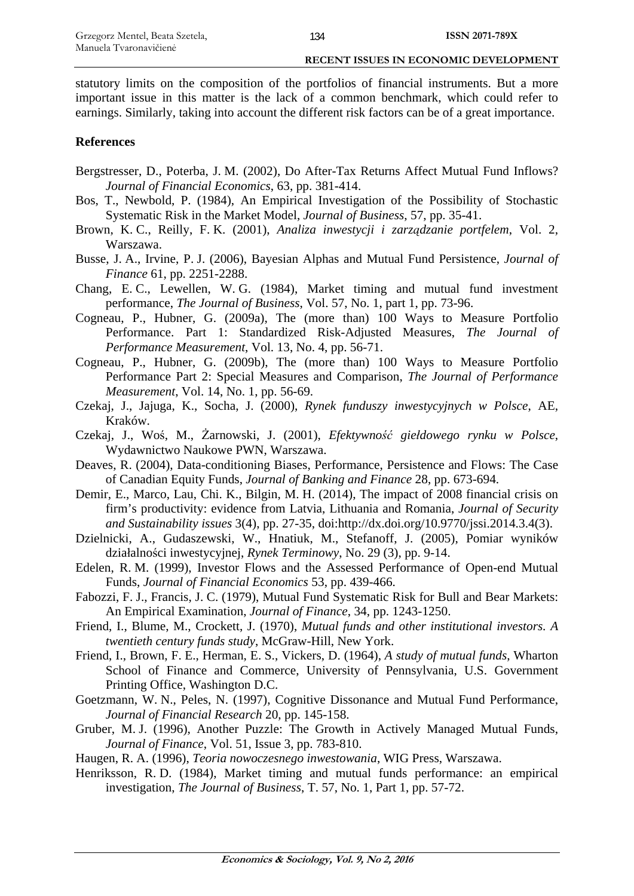statutory limits on the composition of the portfolios of financial instruments. But a more important issue in this matter is the lack of a common benchmark, which could refer to earnings. Similarly, taking into account the different risk factors can be of a great importance.

### **References**

- Bergstresser, D., Poterba, J. M. (2002), Do After-Tax Returns Affect Mutual Fund Inflows? *Journal of Financial Economics*, 63, pp. 381-414.
- Bos, T., Newbold, P. (1984), An Empirical Investigation of the Possibility of Stochastic Systematic Risk in the Market Model, *Journal of Business*, 57, pp. 35-41.
- Brown, K. C., Reilly, F. K. (2001), *Analiza inwestycji i zarządzanie portfelem*, Vol. 2, Warszawa.
- Busse, J. A., Irvine, P. J. (2006), Bayesian Alphas and Mutual Fund Persistence, *Journal of Finance* 61, pp. 2251-2288.
- Chang, E. C., Lewellen, W. G. (1984), Market timing and mutual fund investment performance, *The Journal of Business*, Vol. 57, No. 1, part 1, pp. 73-96.
- Cogneau, P., Hubner, G. (2009a), The (more than) 100 Ways to Measure Portfolio Performance. Part 1: Standardized Risk-Adjusted Measures, *The Journal of Performance Measurement*, Vol. 13, No. 4, pp. 56-71.
- Cogneau, P., Hubner, G. (2009b), The (more than) 100 Ways to Measure Portfolio Performance Part 2: Special Measures and Comparison, *The Journal of Performance Measurement*, Vol. 14, No. 1, pp. 56-69.
- Czekaj, J., Jajuga, K., Socha, J. (2000), *Rynek funduszy inwestycyjnych w Polsce*, AE, Kraków.
- Czekaj, J., Woś, M., Żarnowski, J. (2001), *Efektywność giełdowego rynku w Polsce*, Wydawnictwo Naukowe PWN, Warszawa.
- Deaves, R. (2004), Data-conditioning Biases, Performance, Persistence and Flows: The Case of Canadian Equity Funds, *Journal of Banking and Finance* 28, pp. 673-694.
- Demir, E., Marco, Lau, Chi. K., Bilgin, M. H. (2014), The impact of 2008 financial crisis on firm's productivity: evidence from Latvia, Lithuania and Romania, *Journal of Security and Sustainability issues* 3(4), pp. 27-35, doi:http://dx.doi.org/10.9770/jssi.2014.3.4(3).
- Dzielnicki, A., Gudaszewski, W., Hnatiuk, M., Stefanoff, J. (2005), Pomiar wyników działalności inwestycyjnej, *Rynek Terminowy*, No. 29 (3), pp. 9-14.
- Edelen, R. M. (1999), Investor Flows and the Assessed Performance of Open-end Mutual Funds, *Journal of Financial Economics* 53, pp. 439-466.
- Fabozzi, F. J., Francis, J. C. (1979), Mutual Fund Systematic Risk for Bull and Bear Markets: An Empirical Examination, *Journal of Finance*, 34, pp. 1243-1250.
- Friend, I., Blume, M., Crockett, J. (1970), *Mutual funds and other institutional investors. A twentieth century funds study*, McGraw-Hill, New York.
- Friend, I., Brown, F. E., Herman, E. S., Vickers, D. (1964), *A study of mutual funds*, Wharton School of Finance and Commerce, University of Pennsylvania, U.S. Government Printing Office, Washington D.C.
- Goetzmann, W. N., Peles, N. (1997), Cognitive Dissonance and Mutual Fund Performance, *Journal of Financial Research* 20, pp. 145-158.
- Gruber, M. J. (1996), Another Puzzle: The Growth in Actively Managed Mutual Funds, *Journal of Finance*, Vol. 51, Issue 3, pp. 783-810.
- Haugen, R. A. (1996), *Teoria nowoczesnego inwestowania*, WIG Press, Warszawa.
- Henriksson, R. D. (1984), Market timing and mutual funds performance: an empirical investigation, *The Journal of Business*, T. 57, No. 1, Part 1, pp. 57-72.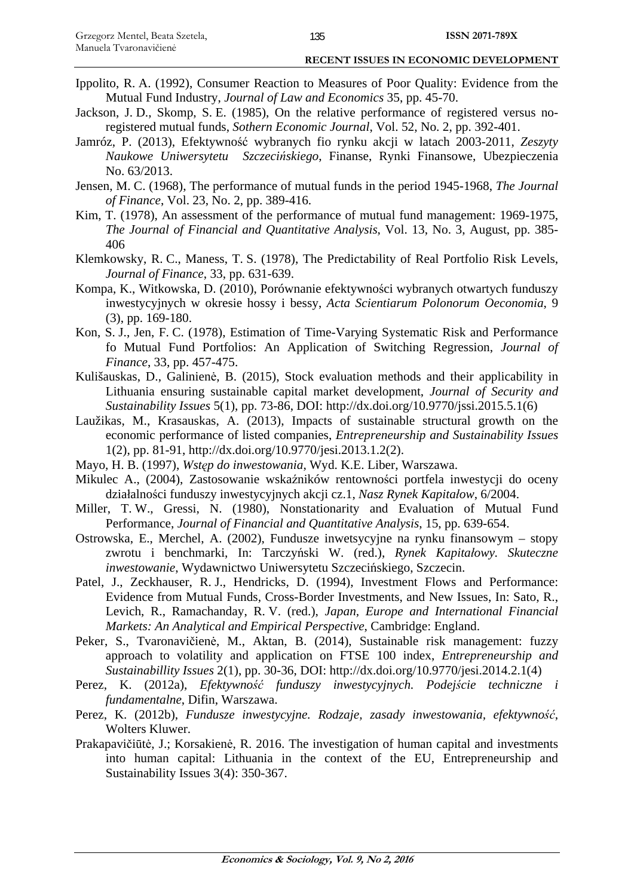- Ippolito, R. A. (1992), Consumer Reaction to Measures of Poor Quality: Evidence from the Mutual Fund Industry, *Journal of Law and Economics* 35, pp. 45-70.
- Jackson, J. D., Skomp, S. E. (1985), On the relative performance of registered versus noregistered mutual funds, *Sothern Economic Journal*, Vol. 52, No. 2, pp. 392-401.
- Jamróz, P. (2013), Efektywność wybranych fio rynku akcji w latach 2003-2011, *Zeszyty Naukowe Uniwersytetu Szczecińskiego*, Finanse, Rynki Finansowe, Ubezpieczenia No. 63/2013.
- Jensen, M. C. (1968), The performance of mutual funds in the period 1945-1968, *The Journal of Finance*, Vol. 23, No. 2, pp. 389-416.
- Kim, T. (1978), An assessment of the performance of mutual fund management: 1969-1975, *The Journal of Financial and Quantitative Analysis*, Vol. 13, No. 3, August, pp. 385- 406
- Klemkowsky, R. C., Maness, T. S. (1978), The Predictability of Real Portfolio Risk Levels, *Journal of Finance*, 33, pp. 631-639.
- Kompa, K., Witkowska, D. (2010), Porównanie efektywności wybranych otwartych funduszy inwestycyjnych w okresie hossy i bessy, *Acta Scientiarum Polonorum Oeconomia*, 9 (3), pp. 169-180.
- Kon, S. J., Jen, F. C. (1978), Estimation of Time-Varying Systematic Risk and Performance fo Mutual Fund Portfolios: An Application of Switching Regression, *Journal of Finance*, 33, pp. 457-475.
- Kulišauskas, D., Galinienė, B. (2015), Stock evaluation methods and their applicability in Lithuania ensuring sustainable capital market development, *Journal of Security and Sustainability Issues* 5(1), pp. 73-86, DOI: http://dx.doi.org/10.9770/jssi.2015.5.1(6)
- Laužikas, M., Krasauskas, A. (2013), Impacts of sustainable structural growth on the economic performance of listed companies, *Entrepreneurship and Sustainability Issues* 1(2), pp. 81-91, http://dx.doi.org/10.9770/jesi.2013.1.2(2).
- Mayo, H. B. (1997), *Wstęp do inwestowania*, Wyd. K.E. Liber, Warszawa.
- Mikulec A., (2004), Zastosowanie wskaźników rentowności portfela inwestycji do oceny działalności funduszy inwestycyjnych akcji cz.1, *Nasz Rynek Kapitałow*, 6/2004.
- Miller, T. W., Gressi, N. (1980), Nonstationarity and Evaluation of Mutual Fund Performance, *Journal of Financial and Quantitative Analysis*, 15, pp. 639-654.
- Ostrowska, E., Merchel, A. (2002), Fundusze inwetsycyjne na rynku finansowym stopy zwrotu i benchmarki, In: Tarczyński W. (red.), *Rynek Kapitałowy. Skuteczne inwestowanie*, Wydawnictwo Uniwersytetu Szczecińskiego, Szczecin.
- Patel, J., Zeckhauser, R. J., Hendricks, D. (1994), Investment Flows and Performance: Evidence from Mutual Funds, Cross-Border Investments, and New Issues, In: Sato, R., Levich, R., Ramachanday, R. V. (red.), *Japan, Europe and International Financial Markets: An Analytical and Empirical Perspective*, Cambridge: England.
- Peker, S., Tvaronavičienė, M., Aktan, B. (2014), Sustainable risk management: fuzzy approach to volatility and application on FTSE 100 index, *Entrepreneurship and Sustainabillity Issues* 2(1), pp. 30-36, DOI: http://dx.doi.org/10.9770/jesi.2014.2.1(4)
- Perez, K. (2012a), *Efektywność funduszy inwestycyjnych. Podejście techniczne i fundamentalne*, Difin, Warszawa.
- Perez, K. (2012b), *Fundusze inwestycyjne. Rodzaje, zasady inwestowania, efektywność*, Wolters Kluwer.
- Prakapavičiūtė, J.; Korsakienė, R. 2016. The investigation of human capital and investments into human capital: Lithuania in the context of the EU, Entrepreneurship and Sustainability Issues 3(4): 350-367.